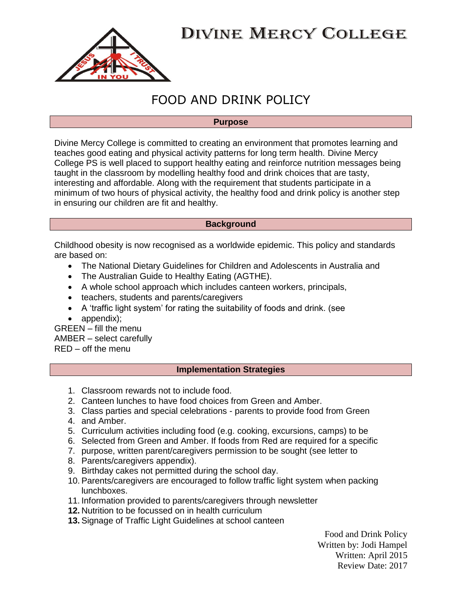# **DIVINE MERCY COLLEGE**



# FOOD AND DRINK POLICY

#### **Purpose**

Divine Mercy College is committed to creating an environment that promotes learning and teaches good eating and physical activity patterns for long term health. Divine Mercy College PS is well placed to support healthy eating and reinforce nutrition messages being taught in the classroom by modelling healthy food and drink choices that are tasty, interesting and affordable. Along with the requirement that students participate in a minimum of two hours of physical activity, the healthy food and drink policy is another step in ensuring our children are fit and healthy.

#### **Background**

Childhood obesity is now recognised as a worldwide epidemic. This policy and standards are based on:

- The National Dietary Guidelines for Children and Adolescents in Australia and
- The Australian Guide to Healthy Eating (AGTHE).
- A whole school approach which includes canteen workers, principals,
- teachers, students and parents/caregivers
- A 'traffic light system' for rating the suitability of foods and drink. (see
- appendix):

GREEN – fill the menu AMBER – select carefully RED – off the menu

#### **Implementation Strategies**

- 1. Classroom rewards not to include food.
- 2. Canteen lunches to have food choices from Green and Amber.
- 3. Class parties and special celebrations parents to provide food from Green
- 4. and Amber.
- 5. Curriculum activities including food (e.g. cooking, excursions, camps) to be
- 6. Selected from Green and Amber. If foods from Red are required for a specific
- 7. purpose, written parent/caregivers permission to be sought (see letter to
- 8. Parents/caregivers appendix).
- 9. Birthday cakes not permitted during the school day.
- 10. Parents/caregivers are encouraged to follow traffic light system when packing lunchboxes.
- 11. Information provided to parents/caregivers through newsletter
- **12.** Nutrition to be focussed on in health curriculum
- **13.** Signage of Traffic Light Guidelines at school canteen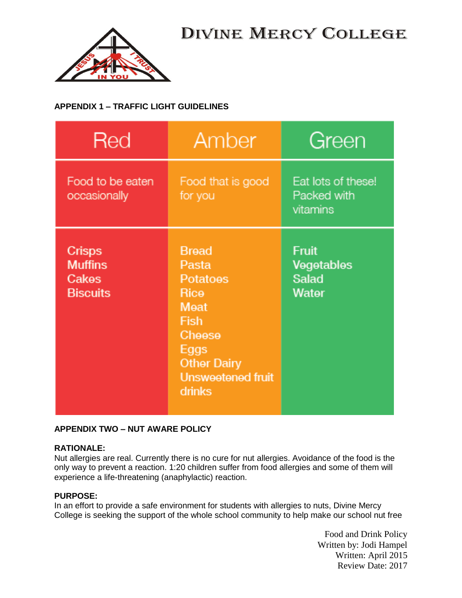



## **APPENDIX 1 – TRAFFIC LIGHT GUIDELINES**

| Red                                                         | Amber                                                                                                                                          | Green                                         |
|-------------------------------------------------------------|------------------------------------------------------------------------------------------------------------------------------------------------|-----------------------------------------------|
| Food to be eaten<br>occasionally                            | Food that is good<br>for you                                                                                                                   | Eat lots of these!<br>Packed with<br>vitamins |
| <b>Crisps</b><br><b>Muffins</b><br>Cakes<br><b>Biscuits</b> | <b>Bread</b><br>Pasta<br>Potatoes<br>Rice<br>Meat<br><b>Fish</b><br>Cheese<br>Eggs<br><b>Other Dairy</b><br><b>Unsweetened fruit</b><br>drinks | Fruit<br>Vegetables<br>Salad<br>Water         |

## **APPENDIX TWO – NUT AWARE POLICY**

### **RATIONALE:**

Nut allergies are real. Currently there is no cure for nut allergies. Avoidance of the food is the only way to prevent a reaction. 1:20 children suffer from food allergies and some of them will experience a life-threatening (anaphylactic) reaction.

### **PURPOSE:**

In an effort to provide a safe environment for students with allergies to nuts, Divine Mercy College is seeking the support of the whole school community to help make our school nut free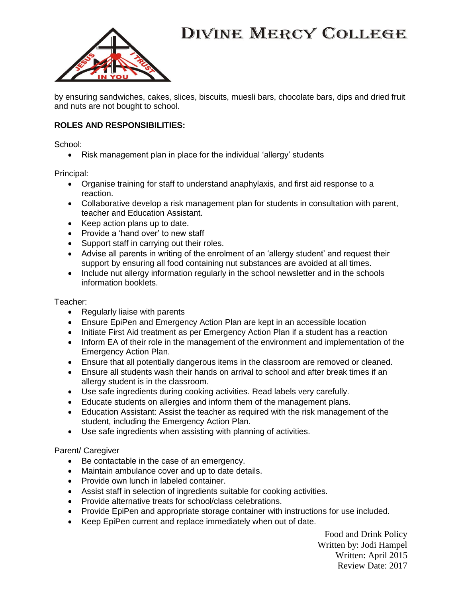# **DIVINE MERCY COLLEGE**



by ensuring sandwiches, cakes, slices, biscuits, muesli bars, chocolate bars, dips and dried fruit and nuts are not bought to school.

### **ROLES AND RESPONSIBILITIES:**

School:

• Risk management plan in place for the individual 'allergy' students

Principal:

- Organise training for staff to understand anaphylaxis, and first aid response to a reaction.
- Collaborative develop a risk management plan for students in consultation with parent, teacher and Education Assistant.
- Keep action plans up to date.
- Provide a 'hand over' to new staff
- Support staff in carrying out their roles.
- Advise all parents in writing of the enrolment of an 'allergy student' and request their support by ensuring all food containing nut substances are avoided at all times.
- Include nut allergy information regularly in the school newsletter and in the schools information booklets.

#### Teacher:

- Regularly liaise with parents
- Ensure EpiPen and Emergency Action Plan are kept in an accessible location
- Initiate First Aid treatment as per Emergency Action Plan if a student has a reaction
- Inform EA of their role in the management of the environment and implementation of the Emergency Action Plan.
- Ensure that all potentially dangerous items in the classroom are removed or cleaned.
- Ensure all students wash their hands on arrival to school and after break times if an allergy student is in the classroom.
- Use safe ingredients during cooking activities. Read labels very carefully.
- Educate students on allergies and inform them of the management plans.
- Education Assistant: Assist the teacher as required with the risk management of the student, including the Emergency Action Plan.
- Use safe ingredients when assisting with planning of activities.

### Parent/ Caregiver

- Be contactable in the case of an emergency.
- Maintain ambulance cover and up to date details.
- Provide own lunch in labeled container.
- Assist staff in selection of ingredients suitable for cooking activities.
- Provide alternative treats for school/class celebrations.
- Provide EpiPen and appropriate storage container with instructions for use included.
- Keep EpiPen current and replace immediately when out of date.